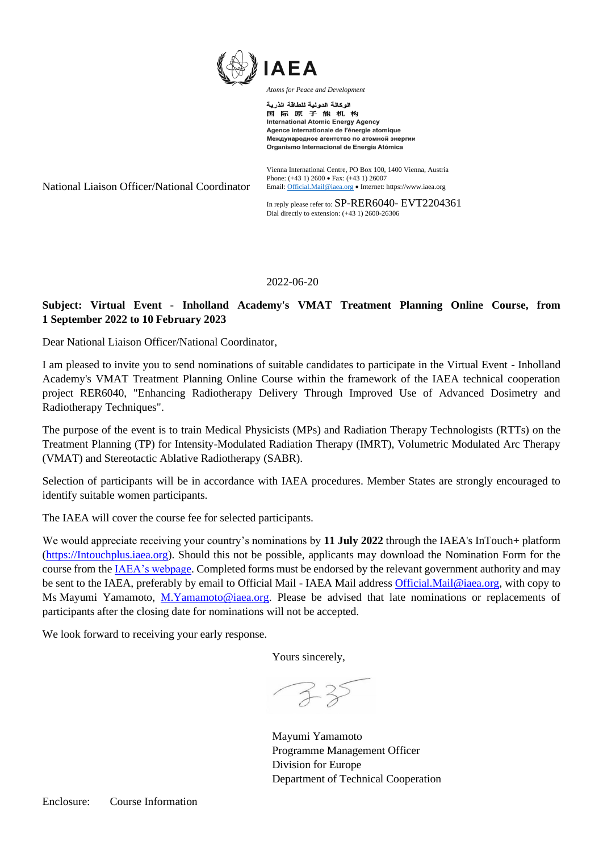

*Atoms for Peace and Development*

الوكالة الدولية للطاقة الذرية 国际原子能机构 International Atomic Energy Agency Agence internationale de l'énergie atomique Международное агентство по атомной энергии Organismo Internacional de Energía Atómica

National Liaison Officer/National Coordinator

Vienna International Centre, PO Box 100, 1400 Vienna, Austria Phone: (+43 1) 2600 • Fax: (+43 1) 26007 Email[: Official.Mail@iaea.org](mailto:official.mail@iaea.org) • Internet[: https://www.iaea.org](https://www.iaea.org/)

In reply please refer to: SP-RER6040- EVT2204361 Dial directly to extension: (+43 1) 2600-26306

2022-06-20

## **Subject: Virtual Event - Inholland Academy's VMAT Treatment Planning Online Course, from 1 September 2022 to 10 February 2023**

Dear National Liaison Officer/National Coordinator,

I am pleased to invite you to send nominations of suitable candidates to participate in the Virtual Event - Inholland Academy's VMAT Treatment Planning Online Course within the framework of the IAEA technical cooperation project RER6040, "Enhancing Radiotherapy Delivery Through Improved Use of Advanced Dosimetry and Radiotherapy Techniques".

The purpose of the event is to train Medical Physicists (MPs) and Radiation Therapy Technologists (RTTs) on the Treatment Planning (TP) for Intensity-Modulated Radiation Therapy (IMRT), Volumetric Modulated Arc Therapy (VMAT) and Stereotactic Ablative Radiotherapy (SABR).

Selection of participants will be in accordance with IAEA procedures. Member States are strongly encouraged to identify suitable women participants.

The IAEA will cover the course fee for selected participants.

We would appreciate receiving your country's nominations by **11 July 2022** through the IAEA's InTouch+ platform [\(https://Intouchplus.iaea.org\)](https://intouchplus.iaea.org/). Should this not be possible, applicants may download the Nomination Form for the course from the [IAEA's webpage.](https://www.iaea.org/services/technical-cooperation-programme/how-to-participate) Completed forms must be endorsed by the relevant government authority and may be sent to the IAEA, preferably by email to Official Mail - IAEA Mail address [Official.Mail@iaea.org,](mailto:Official.Mail@iaea.org) with copy to Ms Mayumi Yamamoto, M.Yamamoto@iaea.org. Please be advised that late nominations or replacements of participants after the closing date for nominations will not be accepted.

We look forward to receiving your early response.

Yours sincerely,

 $7.35$ 

Mayumi Yamamoto Programme Management Officer Division for Europe Department of Technical Cooperation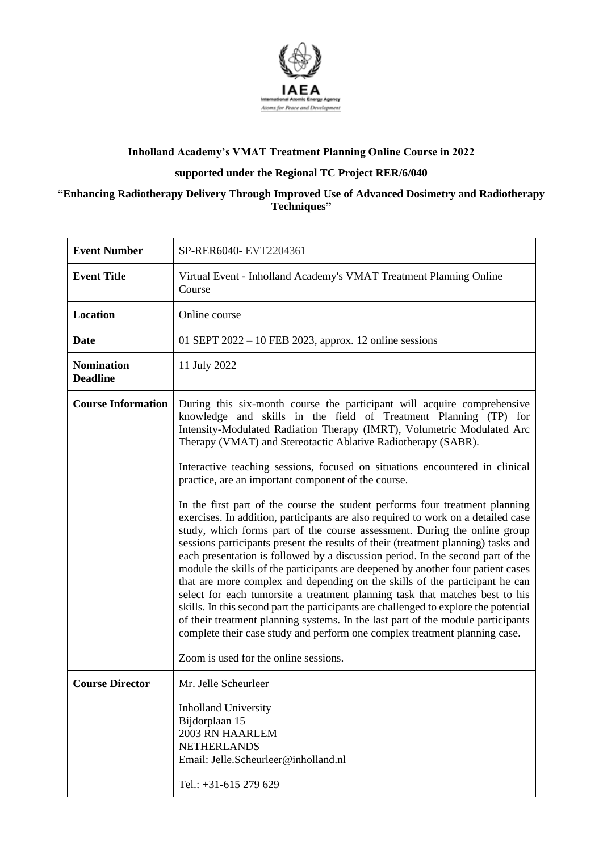

## **Inholland Academy's VMAT Treatment Planning Online Course in 2022**

## **supported under the Regional TC Project RER/6/040**

## **"Enhancing Radiotherapy Delivery Through Improved Use of Advanced Dosimetry and Radiotherapy Techniques"**

| <b>Event Number</b>                  | SP-RER6040- EVT2204361                                                                                                                                                                                                                                                                                                                                                                                                                                                                                                                                                                                                                                                                                                                                                                                                                                                                                                                                                       |
|--------------------------------------|------------------------------------------------------------------------------------------------------------------------------------------------------------------------------------------------------------------------------------------------------------------------------------------------------------------------------------------------------------------------------------------------------------------------------------------------------------------------------------------------------------------------------------------------------------------------------------------------------------------------------------------------------------------------------------------------------------------------------------------------------------------------------------------------------------------------------------------------------------------------------------------------------------------------------------------------------------------------------|
| <b>Event Title</b>                   | Virtual Event - Inholland Academy's VMAT Treatment Planning Online<br>Course                                                                                                                                                                                                                                                                                                                                                                                                                                                                                                                                                                                                                                                                                                                                                                                                                                                                                                 |
| <b>Location</b>                      | Online course                                                                                                                                                                                                                                                                                                                                                                                                                                                                                                                                                                                                                                                                                                                                                                                                                                                                                                                                                                |
| Date                                 | 01 SEPT 2022 – 10 FEB 2023, approx. 12 online sessions                                                                                                                                                                                                                                                                                                                                                                                                                                                                                                                                                                                                                                                                                                                                                                                                                                                                                                                       |
| <b>Nomination</b><br><b>Deadline</b> | 11 July 2022                                                                                                                                                                                                                                                                                                                                                                                                                                                                                                                                                                                                                                                                                                                                                                                                                                                                                                                                                                 |
| <b>Course Information</b>            | During this six-month course the participant will acquire comprehensive<br>knowledge and skills in the field of Treatment Planning (TP) for<br>Intensity-Modulated Radiation Therapy (IMRT), Volumetric Modulated Arc<br>Therapy (VMAT) and Stereotactic Ablative Radiotherapy (SABR).<br>Interactive teaching sessions, focused on situations encountered in clinical<br>practice, are an important component of the course.                                                                                                                                                                                                                                                                                                                                                                                                                                                                                                                                                |
|                                      | In the first part of the course the student performs four treatment planning<br>exercises. In addition, participants are also required to work on a detailed case<br>study, which forms part of the course assessment. During the online group<br>sessions participants present the results of their (treatment planning) tasks and<br>each presentation is followed by a discussion period. In the second part of the<br>module the skills of the participants are deepened by another four patient cases<br>that are more complex and depending on the skills of the participant he can<br>select for each tumorsite a treatment planning task that matches best to his<br>skills. In this second part the participants are challenged to explore the potential<br>of their treatment planning systems. In the last part of the module participants<br>complete their case study and perform one complex treatment planning case.<br>Zoom is used for the online sessions. |
| <b>Course Director</b>               | Mr. Jelle Scheurleer<br><b>Inholland University</b><br>Bijdorplaan 15<br>2003 RN HAARLEM<br><b>NETHERLANDS</b><br>Email: Jelle.Scheurleer@inholland.nl<br>Tel.: +31-615 279 629                                                                                                                                                                                                                                                                                                                                                                                                                                                                                                                                                                                                                                                                                                                                                                                              |